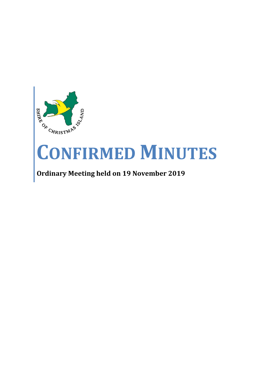

# **CONFIRMED MINUTES**

## **Ordinary Meeting held on 19 November 2019**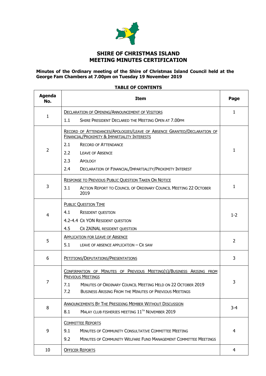

## **SHIRE OF CHRISTMAS ISLAND MEETING MINUTES CERTIFICATION**

#### **Minutes of the Ordinary meeting of the Shire of Christmas Island Council held at the George Fam Chambers at 7.00pm on Tuesday 19 November 2019**

#### **TABLE OF CONTENTS**

 $\blacksquare$ 

| <b>Agenda</b><br>No. | <b>Item</b>                                                                                                                        | Page           |
|----------------------|------------------------------------------------------------------------------------------------------------------------------------|----------------|
|                      | <b>DECLARATION OF OPENING/ANNOUNCEMENT OF VISITORS</b>                                                                             | 1              |
| 1                    | 1.1<br>SHIRE PRESIDENT DECLARED THE MEETING OPEN AT 7.00PM                                                                         |                |
|                      | RECORD OF ATTENDANCES/APOLOGIES/LEAVE OF ABSENCE GRANTED/DECLARATION OF<br><b>FINANCIAL/PROXIMITY &amp; IMPARTIALITY INTERESTS</b> |                |
|                      | 2.1<br><b>RECORD OF ATTENDANCE</b>                                                                                                 |                |
| $\overline{2}$       | 2.2<br><b>LEAVE OF ABSENCE</b>                                                                                                     | $\mathbf{1}$   |
|                      | 2.3<br>APOLOGY                                                                                                                     |                |
|                      | DECLARATION OF FINANCIAL/IMPARTIALITY/PROXIMITY INTEREST<br>2.4                                                                    |                |
|                      | <b>RESPONSE TO PREVIOUS PUBLIC QUESTION TAKEN ON NOTICE</b>                                                                        |                |
| 3                    | 3.1<br>ACTION REPORT TO COUNCIL OF ORDINARY COUNCIL MEETING 22 OCTOBER<br>2019                                                     | $\mathbf{1}$   |
|                      | <b>PUBLIC QUESTION TIME</b>                                                                                                        |                |
| $\overline{4}$       | 4.1<br><b>RESIDENT QUESTION</b>                                                                                                    | $1 - 2$        |
|                      | 4.2-4.4 CR YON RESIDENT QUESTION                                                                                                   |                |
|                      | 4.5<br>CR ZAINAL RESIDENT QUESTION                                                                                                 |                |
|                      | <b>APPLICATION FOR LEAVE OF ABSENCE</b>                                                                                            |                |
| 5                    | 5.1<br>LEAVE OF ABSENCE APPLICATION - CR SAW                                                                                       | $\overline{2}$ |
| 6                    | PETITIONS/DEPUTATIONS/PRESENTATIONS                                                                                                | 3              |
|                      | CONFIRMATION OF MINUTES OF PREVIOUS MEETING(S)/BUSINESS ARISING FROM                                                               |                |
| 7                    | <b>PREVIOUS MEETINGS</b><br>MINUTES OF ORDINARY COUNCIL MEETING HELD ON 22 OCTOBER 2019<br>7.1                                     | 3              |
|                      | 7.2<br>BUSINESS ARISING FROM THE MINUTES OF PREVIOUS MEETINGS                                                                      |                |
|                      | <b>ANNOUNCEMENTS BY THE PRESIDING MEMBER WITHOUT DISCUSSION</b>                                                                    |                |
| 8                    | MALAY CLUB FISHERIES MEETING 11 <sup>TH</sup> NOVEMBER 2019<br>8.1                                                                 | $3 - 4$        |
|                      | <b>COMMITTEE REPORTS</b>                                                                                                           |                |
| 9                    | MINUTES OF COMMUNITY CONSULTATIVE COMMITTEE MEETING<br>9.1                                                                         | 4              |
|                      | 9.2<br>MINUTES OF COMMUNITY WELFARE FUND MANAGEMENT COMMITTEE MEETINGS                                                             |                |
| 10                   | <b>OFFICER REPORTS</b>                                                                                                             | 4              |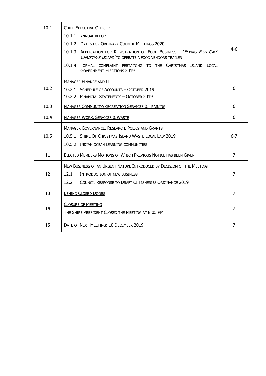| 10.1 | <b>CHIEF EXECUTIVE OFFICER</b>                                                                                                 |                |
|------|--------------------------------------------------------------------------------------------------------------------------------|----------------|
|      | 10.1.1 ANNUAL REPORT                                                                                                           |                |
|      | 10.1.2 DATES FOR ORDINARY COUNCIL MEETINGS 2020                                                                                |                |
|      | 10.1.3 APPLICATION FOR REGISTRATION OF FOOD BUSINESS - 'FLYING FISH CAFÉ<br>CHRISTMAS ISLAND'TO OPERATE A FOOD VENDORS TRAILER | $4-6$          |
|      | 10.1.4 FORMAL COMPLAINT PERTAINING TO THE CHRISTMAS ISLAND LOCAL<br><b>GOVERNMENT ELECTIONS 2019</b>                           |                |
|      | <b>MANAGER FINANCE AND IT</b>                                                                                                  |                |
| 10.2 | 10.2.1 SCHEDULE OF ACCOUNTS - OCTOBER 2019                                                                                     | 6              |
|      | 10.2.2 FINANCIAL STATEMENTS - OCTOBER 2019                                                                                     |                |
| 10.3 | <b>MANAGER COMMUNITY/RECREATION SERVICES &amp; TRAINING</b>                                                                    | 6              |
| 10.4 | <b>MANAGER WORK, SERVICES &amp; WASTE</b>                                                                                      | 6              |
|      | MANAGER GOVERNANCE, RESEARCH, POLICY AND GRANTS                                                                                |                |
| 10.5 | 10.5.1 SHIRE OF CHRISTMAS ISLAND WASTE LOCAL LAW 2019                                                                          | $6 - 7$        |
|      | 10.5.2 INDIAN OCEAN LEARNING COMMUNITIES                                                                                       |                |
| 11   | <b>ELECTED MEMBERS MOTIONS OF WHICH PREVIOUS NOTICE HAS BEEN GIVEN</b>                                                         | $\overline{7}$ |
|      | NEW BUSINESS OF AN URGENT NATURE INTRODUCED BY DECISION OF THE MEETING                                                         |                |
| 12   | 12.1<br>INTRODUCTION OF NEW BUSINESS                                                                                           | $\overline{7}$ |
|      | 12.2 <sub>1</sub><br><b>COUNCIL RESPONSE TO DRAFT CI FISHERIES ORDINANCE 2019</b>                                              |                |
| 13   | <b>BEHIND CLOSED DOORS</b>                                                                                                     | $\overline{7}$ |
|      | <b>CLOSURE OF MEETING</b>                                                                                                      |                |
| 14   | THE SHIRE PRESIDENT CLOSED THE MEETING AT 8.05 PM                                                                              | $\overline{7}$ |
| 15   | DATE OF NEXT MEETING: 10 DECEMBER 2019                                                                                         | 7              |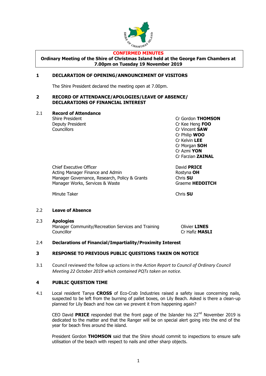

#### **CONFIRMED MINUTES**

**Ordinary Meeting of the Shire of Christmas Island held at the George Fam Chambers at 7.00pm on Tuesday 19 November 2019**

#### **1 DECLARATION OF OPENING/ANNOUNCEMENT OF VISITORS**

The Shire President declared the meeting open at 7.00pm.

#### **2 RECORD OF ATTENDANCE/APOLOGIES/LEAVE OF ABSENCE/ DECLARATIONS OF FINANCIAL INTEREST**

#### 2.1 **Record of Attendance**

Deputy President Cr Kee Heng **FOO** Councillors Cr Vincent **SAW**

Shire President **Criminal Criminal Criminal Criminal Criminal Criminal Criminal Criminal Criminal Criminal Criminal Operation** Cr Philip **WOO** Cr Kelvin **LEE** Cr Morgan **SOH** Cr Azmi **YON** Cr Farzian **ZAINAL**

Chief Executive Officer David **PRICE** Acting Manager Finance and Admin **Rostyna OH** Manager Governance, Research, Policy & Grants Chris **SU** Manager Works, Services & Waste Graeme **HEDDITCH** 

Minute Taker **Chris SU** 

#### 2.2 **Leave of Absence**

#### 2.3 **Apologies**

Manager Community/Recreation Services and Training **Olivier LINES** Councillor Cr Hafiz **MASLI**

#### 2.4 **Declarations of Financial/Impartiality/Proximity Interest**

#### **3 RESPONSE TO PREVIOUS PUBLIC QUESTIONS TAKEN ON NOTICE**

3.1 Council reviewed the follow up actions in the *Action Report to Council of Ordinary Council Meeting 22 October 2019 which contained PQTs taken on notice.*

#### **4 PUBLIC QUESTION TIME**

4.1 Local resident Tanya **CROSS** of Eco-Crab Industries raised a safety issue concerning nails, suspected to be left from the burning of pallet boxes, on Lily Beach. Asked is there a clean-up planned for Lily Beach and how can we prevent it from happening again?

CEO David **PRICE** responded that the front page of the Islander his  $22^{nd}$  November 2019 is dedicated to the matter and that the Ranger will be on special alert going into the end of the year for beach fires around the island.

President Gordon **THOMSON** said that the Shire should commit to inspections to ensure safe utilisation of the beach with respect to nails and other sharp objects.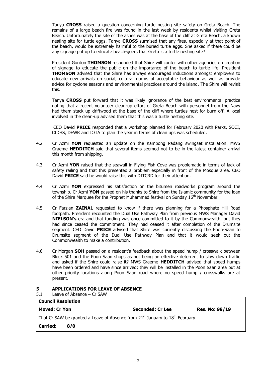Tanya **CROSS** raised a question concerning turtle nesting site safety on Greta Beach. The remains of a large beach fire was found in the last week by residents whilst visiting Greta Beach. Unfortunately the site of the ashes was at the base of the cliff at Greta Beach, a known nesting site for turtle eggs. Tanya **CROSS** surmised that any fires, especially at that point of the beach, would be extremely harmful to the buried turtle eggs. She asked if there could be any signage put up to educate beach-goers that Greta is a turtle nesting site?

President Gordon **THOMSON** responded that Shire will confer with other agencies on creation of signage to educate the public on the importance of the beach to turtle life. President **THOMSON** advised that the Shire has always encouraged inductions amongst employers to educate new arrivals on social, cultural norms of acceptable behaviour as well as provide advice for cyclone seasons and environmental practices around the island. The Shire will revisit this.

Tanya **CROSS** put forward that it was likely ignorance of the best environmental practice noting that a recent volunteer clean-up effort of Greta Beach with personnel from the Navy had them stack up driftwood at the base of the cliff where turtles nest for burn off. A local involved in the clean-up advised them that this was a turtle nesting site.

CEO David **PRICE** responded that a workshop planned for February 2020 with Parks, SOCI, CIDHS, DEWR and IOTA to plan the year in terms of clean ups was scheduled.

- 4.2 Cr Azmi **YON** requested an update on the Kampong Padang swingset installation. MWS Graeme **HEDDITCH** said that several items seemed not to be in the latest container arrival this month from shipping.
- 4.3 Cr Azmi **YON** raised that the seawall in Flying Fish Cove was problematic in terms of lack of safety railing and that this presented a problem especially in front of the Mosque area. CEO David **PRICE** said he would raise this with DITCRD for their attention.
- 4.4 Cr Azmi **YON** expressed his satisfaction on the bitumen roadworks program around the township. Cr Azmi **YON** passed on his thanks to Shire from the Islamic community for the loan of the Shire Marquee for the Prophet Muhammed festival on Sunday 16<sup>th</sup> November.
- 4.5 Cr Farzian **ZAINAL** requested to know if there was planning for a Phosphate Hill Road footpath. President recounted the Dual Use Pathway Plan from previous MWS Manager David **NIELSON's** era and that funding was once committed to it by the Commonwealth, but they had since ceased the commitment. They had ceased it after completion of the Drumsite segment. CEO David **PRICE** advised that Shire was currently discussing the Poon-Saan to Drumsite segment of the Dual Use Pathway Plan and that it would seek out the Commonwealth to make a contribution.
- 4.6 Cr Morgan **SOH** passed on a resident's feedback about the speed hump / crosswalk between Block 501 and the Poon Saan shops as not being an effective deterrent to slow down traffic and asked if the Shire could raise it? MWS Graeme **HEDDITCH** advised that speed humps have been ordered and have since arrived; they will be installed in the Poon Saan area but at other priority locations along Poon Saan road where no speed hump / crosswalks are at present.

#### **5 APPLICATIONS FOR LEAVE OF ABSENCE**

5.1 Leave of Absence – Cr SAW

| <b>Council Resolution</b>                                                                            |     |                  |                       |
|------------------------------------------------------------------------------------------------------|-----|------------------|-----------------------|
| <b>Moved: Cr Yon</b>                                                                                 |     | Seconded: Cr Lee | <b>Res. No: 98/19</b> |
| That Cr SAW be granted a Leave of Absence from 21 <sup>st</sup> January to 18 <sup>th</sup> February |     |                  |                       |
| <b>Carried:</b>                                                                                      | 8/0 |                  |                       |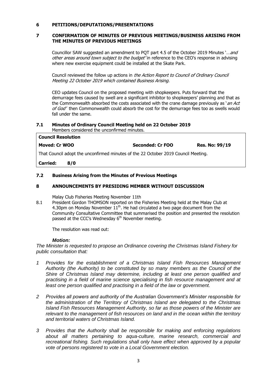#### **6 PETITIONS/DEPUTATIONS/PRESENTATIONS**

#### **7 CONFIRMATION OF MINUTES OF PREVIOUS MEETINGS/BUSINESS ARISING FROM THE MINUTES OF PREVIOUS MEETINGS**

Councillor SAW suggested an amendment to POT part 4.5 of the October 2019 Minutes '... and other areas around town subject to the budget' in reference to the CEO's response in advising where new exercise equipment could be installed at the Skate Park.

Council reviewed the follow up actions in the Action Report to Council of Ordinary Council Meeting 22 October 2019 which contained Business Arising.

CEO updates Council on the proposed meeting with shopkeepers. Puts forward that the demurrage fees caused by swell are a significant inhibitor to shopkeepers' planning and that as the Commonwealth absorbed the costs associated with the crane damage previously as 'an Act of God' then Commonwealth could absorb the cost for the demurrage fees too as swells would fall under the same.

#### **7.1 Minutes of Ordinary Council Meeting held on 22 October 2019** Members considered the unconfirmed minutes.

| <b>Council Resolution</b> |                  |                       |
|---------------------------|------------------|-----------------------|
| Moved: Cr WOO             | Seconded: Cr FOO | <b>Res. No: 99/19</b> |
|                           | - -              |                       |

That Council adopt the unconfirmed minutes of the 22 October 2019 Council Meeting.

**Carried: 8/0**

#### **7.2 Business Arising from the Minutes of Previous Meetings**

#### **8 ANNOUNCEMENTS BY PRESIDING MEMBER WITHOUT DISCUSSION**

Malay Club Fisheries Meeting November 11th

8.1 President Gordon THOMSON reported on the Fisheries Meeting held at the Malay Club at 4.30pm on Monday November  $11<sup>th</sup>$ . He had circulated a two page document from the Community Consultative Committee that summarised the position and presented the resolution passed at the CCC's Wednesday  $6<sup>th</sup>$  November meeting.

The resolution was read out:

#### *Motion:*

*The Minister is requested to propose an Ordinance covering the Christmas Island Fishery for public consultation that:*

- *1 Provides for the establishment of a Christmas Island Fish Resources Management Authority (the Authority) to be constituted by so many members as the Council of the Shire of Christmas Island may determine, including at least one person qualified and practising in a field of marine science specialising in fish resource management and at*  least one person qualified and practising in a field of the law or government.
- *2 Provides all powers and authority of the Australian Government's Minister responsible for the administration of the Territory of Christmas Island are delegated to the Christmas Island Fish Resources Management Authority, so far as those powers of the Minister are relevant to the management of fish resources on land and in the ocean within the territory and territorial waters of Christmas Island.*
- *3 Provides that the Authority shall be responsible for making and enforcing regulations about all matters pertaining to aqua-culture, marine research, commercial and recreational fishing. Such regulations shall only have effect when approved by a popular vote of persons registered to vote in a Local Government election.*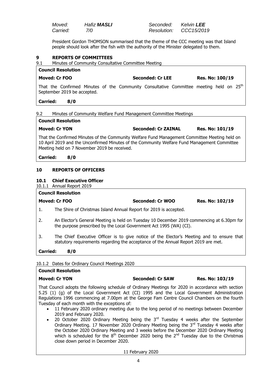| Moved:   | <b>Hafiz MASLI</b> |  |
|----------|--------------------|--|
| Carried: | 7/0                |  |

*Moved: Hafiz MASLI Seconded: Kelvin LEE Carried: 7/0 Resolution: CCC15/2019*

President Gordon THOMSON summarised that the theme of the CCC meeting was that Island people should look after the fish with the authority of the Minister delegated to them.

#### **9 REPORTS OF COMMITTEES**

9.1 Minutes of Community Consultative Committee Meeting

#### **Council Resolution Moved: Cr FOO Seconded: Cr LEE Res. No: 100/19**

That the Confirmed Minutes of the Community Consultative Committee meeting held on  $25<sup>th</sup>$ September 2019 be accepted.

#### **Carried: 8/0**

#### 9.2 Minutes of Community Welfare Fund Management Committee Meetings

#### **Council Resolution**

**Moved: Cr YON Seconded: Cr ZAINAL Res. No: 101/19**

That the Confirmed Minutes of the Community Welfare Fund Management Committee Meeting held on 10 April 2019 and the Unconfirmed Minutes of the Community Welfare Fund Management Committee Meeting held on 7 November 2019 be received.

**Carried: 8/0**

#### **10 REPORTS OF OFFICERS**

#### **10.1 Chief Executive Officer**

#### 10.1.1 Annual Report 2019

#### **Council Resolution**

| Moved: Cr FOO | Seconded: Cr WOO | <b>Res. No: 102/19</b> |
|---------------|------------------|------------------------|
|               |                  |                        |

- 1. The Shire of Christmas Island Annual Report for 2019 is accepted.
- 2. An Elector's General Meeting is held on Tuesday 10 December 2019 commencing at 6.30pm for the purpose prescribed by the Local Government Act 1995 (WA) (CI).
- 3. The Chief Executive Officer is to give notice of the Elector's Meeting and to ensure that statutory requirements regarding the acceptance of the Annual Report 2019 are met.

**Carried: 8/0**

10.1.2 Dates for Ordinary Council Meetings 2020

## **Council Resolution Moved: Cr YON Seconded: Cr SAW Res. No: 103/19** That Council adopts the following schedule of Ordinary Meetings for 2020 in accordance with section 5.25 (1) (g) of the Local Government Act (CI) 1995 and the Local Government Administration Regulations 1996 commencing at 7.00pm at the George Fam Centre Council Chambers on the fourth

- Tuesday of each month with the exceptions of: • 11 February 2020 ordinary meeting due to the long period of no meetings between December 2019 and February 2020.
	- 20 October 2020 Ordinary Meeting being the  $3<sup>rd</sup>$  Tuesday 4 weeks after the September Ordinary Meeting. 17 November 2020 Ordinary Meeting being the  $3<sup>rd</sup>$  Tuesday 4 weeks after the October 2020 Ordinary Meeting and 3 weeks before the December 2020 Ordinary Meeting which is scheduled for the  $8<sup>th</sup>$  December 2020 being the  $2<sup>nd</sup>$  Tuesday due to the Christmas close down period in December 2020.

11 February 2020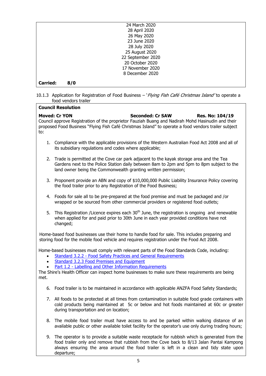|                 |     | 24 March 2020     |
|-----------------|-----|-------------------|
|                 |     | 28 April 2020     |
|                 |     | 26 May 2020       |
|                 |     | 23 June 2020      |
|                 |     | 28 July 2020      |
|                 |     | 25 August 2020    |
|                 |     | 22 September 2020 |
|                 |     | 20 October 2020   |
|                 |     | 17 November 2020  |
|                 |     | 8 December 2020   |
| <b>Carried:</b> | 8/0 |                   |

10.1.3 Application for Registration of Food Business - 'Flying Fish Café Christmas Island' to operate a food vendors trailer

**Council Resolution**

| to:                            | <b>Moved: Cr YON</b><br><b>Seconded: Cr SAW</b><br>Res. No: 104/19<br>Council approve Registration of the proprietor Fauziah Buang and Nadirah Mohd Hasinudin and their<br>proposed Food Business "Flying Fish Café Christmas Island" to operate a food vendors trailer subject                                                                                                     |
|--------------------------------|-------------------------------------------------------------------------------------------------------------------------------------------------------------------------------------------------------------------------------------------------------------------------------------------------------------------------------------------------------------------------------------|
| 1.                             | Compliance with the applicable provisions of the Western Australian Food Act 2008 and all of<br>its subsidiary regulations and codes where applicable;                                                                                                                                                                                                                              |
| 2.                             | Trade is permitted at the Cove car park adjacent to the kayak storage area and the Tea<br>Gardens next to the Police Station daily between 8am to 2pm and 5pm to 8pm subject to the<br>land owner being the Commonwealth granting written permission;                                                                                                                               |
| 3.                             | Proponent provide an ABN and copy of \$10,000,000 Public Liability Insurance Policy covering<br>the food trailer prior to any Registration of the Food Business;                                                                                                                                                                                                                    |
| 4.                             | Foods for sale all to be pre-prepared at the food premise and must be packaged and /or<br>wrapped or be sourced from other commercial providers or registered food outlets;                                                                                                                                                                                                         |
| 5.                             | This Registration /Licence expires each 30 <sup>th</sup> June, the registration is ongoing and renewable<br>when applied for and paid prior to 30th June in each year provided conditions have not<br>changed;                                                                                                                                                                      |
|                                | Home-based food businesses use their home to handle food for sale. This includes preparing and<br>storing food for the mobile food vehicle and requires registration under the Food Act 2008.                                                                                                                                                                                       |
| $\bullet$<br>$\bullet$<br>met. | Home-based businesses must comply with relevant parts of the Food Standards Code, including:<br><b>Standard 3.2.2 - Food Safety Practices and General Requirements</b><br>Standard 3.2.3 Food Premises and Equipment<br>Part 1.2 - Labelling and Other Information Requirements<br>The Shire's Health Officer can inspect home businesses to make sure these requirements are being |
| 6.                             | Food trailer is to be maintained in accordance with applicable ANZFA Food Safety Standards;                                                                                                                                                                                                                                                                                         |
|                                | 7. All foods to be protected at all times from contamination in suitable food grade containers with<br>cold products being maintained at 5c or below and hot foods maintained at 60c or greater<br>during transportation and on location;                                                                                                                                           |
| 8.                             | The mobile food trailer must have access to and be parked within walking distance of an<br>available public or other available toilet facility for the operator's use only during trading hours;                                                                                                                                                                                    |
|                                | The eperator is to provide a suitable waste reseptade for rubbish which is generated from the                                                                                                                                                                                                                                                                                       |

9. The operator is to provide a suitable waste receptacle for rubbish which is generated from the food trailer only and remove that rubbish from the Cove back to 8/13 Jalan Pantai Kampong always ensuring the area around the food trailer is left in a clean and tidy state upon departure;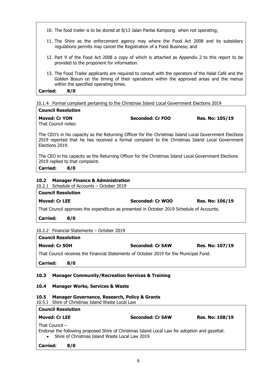- 10. The food trailer is to be stored at 8/13 Jalan Pantai Kampong when not operating;
- 11. The Shire as the enforcement agency may where the Food Act 2008 and its subsidiary regulations permits may cancel the Registration of a Food Business; and
- 12. Part 9 of the Food Act 2008 a copy of which is attached as Appendix 2 to this report to be provided to the proponent for information.
- 13. The Food Trailer applicants are required to consult with the operators of the Halal Café and the Golden Bosun on the timing of their operations within the approved areas and the menus within the specified operating times.

**Carried: 8/0**

10.1.4 Formal complaint pertaining to the Christmas Island Local Government Elections 2019 **Council Resolution**

| Counch Resolution    |                  |                        |  |  |
|----------------------|------------------|------------------------|--|--|
| <b>Moved: Cr YON</b> | Seconded: Cr FOO | <b>Res. No: 105/19</b> |  |  |
| That Council notes:  |                  |                        |  |  |

The CEO's in his capacity as the Returning Officer for the Christmas Island Local Government Elections 2019 reported that he has received a formal complaint to the Christmas Island Local Government Elections 2019.

The CEO in his capacity as the Returning Officer for the Christmas Island Local Government Elections 2019 replied to that complaint.

**Carried: 8/0**

#### **10.2 Manager Finance & Administration**

#### 10.2.1 Schedule of Accounts – October 2019

| <b>Council Resolution</b>                                                                |                  |                        |  |
|------------------------------------------------------------------------------------------|------------------|------------------------|--|
| <b>Moved: Cr LEE</b>                                                                     | Seconded: Cr WOO | <b>Res. No: 106/19</b> |  |
| That Council approves the expenditure as presented in October 2019 Schedule of Accounts. |                  |                        |  |

**Carried: 8/0**

| <b>Council Resolution</b>                                                              |                         |                        |  |
|----------------------------------------------------------------------------------------|-------------------------|------------------------|--|
| Moved: Cr SOH                                                                          | <b>Seconded: Cr SAW</b> | <b>Res. No: 107/19</b> |  |
| That Council receives the Financial Statements of October 2019 for the Municipal Fund. |                         |                        |  |

## **Carried: 8/0**

#### **10.3 Manager Community/Recreation Services & Training**

#### **10.4 Manager Works, Services & Waste**

#### **10.5 Manager Governance, Research, Policy & Grants**

| 10.5.1 Shire of Christmas Island Waste Local Law                                                                                                                    |                         |                        |  |
|---------------------------------------------------------------------------------------------------------------------------------------------------------------------|-------------------------|------------------------|--|
| <b>Council Resolution</b>                                                                                                                                           |                         |                        |  |
| <b>Moved: Cr LEE</b>                                                                                                                                                | <b>Seconded: Cr SAW</b> | <b>Res. No: 108/19</b> |  |
| That Council $-$<br>Endorse the following proposed Shire of Christmas Island Local Law for adoption and gazettal:<br>Shire of Christmas Island Waste Local Law 2019 |                         |                        |  |

| <b>Carried:</b> | 8/0 |
|-----------------|-----|
|-----------------|-----|